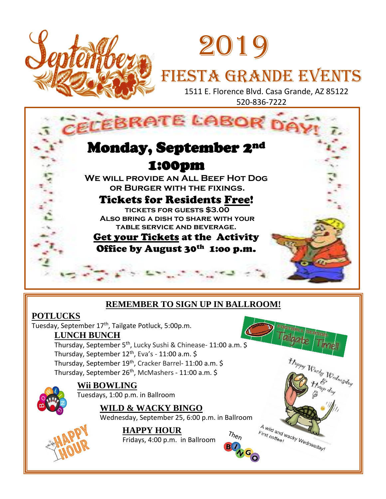

# 2019 FIESTA GRANDE EVENTS

 1511 E. Florence Blvd. Casa Grande, AZ 85122 520-836-7222



## **REMEMBER TO SIGN UP IN BALLROOM!**

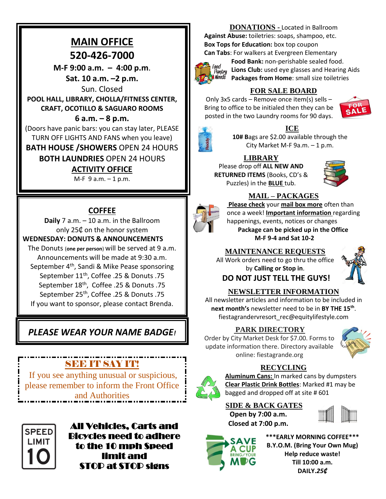## **MAIN OFFICE 520-426-7000**

**M-F 9:00 a.m. – 4:00 p.m**. **Sat. 10 a.m. –2 p.m.**

Sun. Closed

**POOL HALL, LIBRARY, CHOLLA/FITNESS CENTER, CRAFT, OCOTILLO & SAGUARO ROOMS**

## **6 a.m. – 8 p.m.**

(Doors have panic bars: you can stay later, PLEASE TURN OFF LIGHTS AND FANS when you leave) **BATH HOUSE /SHOWERS** OPEN 24 HOURS

**BOTH LAUNDRIES** OPEN 24 HOURS

## **ACTIVITY OFFICE**

 $M-F$  9 a.m.  $-1$  p.m.

## **COFFEE**

**Daily** 7 a.m. – 10 a.m. in the Ballroom only 25₵ on the honor system

#### **WEDNESDAY: DONUTS & ANNOUNCEMENTS**

The Donuts (**one per person**) will be served at 9 a.m. Announcements will be made at 9:30 a.m. September 4<sup>th</sup>, Sandi & Mike Pease sponsoring September 11th , Coffee .25 & Donuts .75 September 18th , Coffee .25 & Donuts .75 September 25th , Coffee .25 & Donuts .75 If you want to sponsor, please contact Brenda.

## *PLEASE WEAR YOUR NAME BADGE!*

## **SEE IT SAY IT!**

If you see anything unusual or suspicious, please remember to inform the Front Office and Authorities



All Vehicles, Carts and Bicycles need to adhere to the 10 mph Speed limit and STOP at STOP signs

## **DONATIONS -** Located in Ballroom

**Against Abuse:** toiletries: soaps, shampoo, etc. **Box Tops for Education:** box top coupon **Can Tabs**: For walkers at Evergreen Elementary



**Food Bank:** non-perishable sealed food. rwy<br>*Pantry* Lions Club: used eye glasses and Hearing Aids **Packages from Home**: small size toiletries

## **FOR SALE BOARD**

Only 3x5 cards – Remove once item(s) sells – Bring to office to be initialed then they can be posted in the two Laundry rooms for 90 days.





## **ICE**

**10# B**ags are \$2.00 available through the City Market M-F 9a.m. – 1 p.m.

## **LIBRARY**

Please drop off **ALL NEW AND RETURNED ITEMS** (Books, CD's & Puzzles) in the **BLUE** tub.





## **MAIL – PACKAGES**

**Please check** your **mail box more** often than once a week! **Important information** regarding happenings, events, notices or changes **Package can be picked up in the Office M-F 9-4 and Sat 10-2**

## **MAINTENANCE REQUESTS**

All Work orders need to go thru the office by **Calling or Stop in**.

**DO NOT JUST TELL THE GUYS!**

## **NEWSLETTER INFORMATION**

All newsletter articles and information to be included in **next month's** newsletter need to be in **BY THE 15th** . fiestagrandervresort\_rec@equitylifestyle.com

## **PARK DIRECTORY**

Order by City Market Desk for \$7.00. Forms to update information there. Directory available online: fiestagrande.org



## **RECYCLING**



**Aluminum Cans:** In marked cans by dumpsters **Clear Plastic Drink Bottles**: Marked #1 may be bagged and dropped off at site # 601

**SIDE & BACK GATES Open by 7:00 a.m. Closed at 7:00 p.m.**





**\*\*\*EARLY MORNING COFFEE\*\*\* B.Y.O.M. (Bring Your Own Mug) Help reduce waste! Till 10:00 a.m. DAILY.***25₵*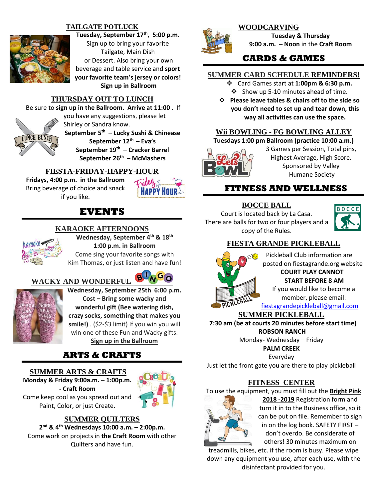#### **TAILGATE POTLUCK**



**Tuesday, September 17th , 5:00 p.m.** Sign up to bring your favorite Tailgate, Main Dish

or Dessert. Also bring your own beverage and table service and **sport your favorite team's jersey or colors! Sign up in Ballroom**

#### **THURSDAY OUT TO LUNCH**

Be sure to **sign up in the Ballroom. Arrive at 11:00** . If

you have any suggestions, please let **LUNCH BUNCH** 

Shirley or Sandra know. **September 5th – Lucky Sushi & Chinease September 12th – Eva's**

**September 19th – Cracker Barrel September 26th – McMashers**

#### **FIESTA-FRIDAY-HAPPY-HOUR**

**Fridays, 4:00 p.m. in the Ballroom**  Bring beverage of choice and snack if you like.



## **EVENTS**

#### **KARAOKE AFTERNOONS**



**Wednesday, September 4th & 18th 1:00 p.m. in Ballroom** Come sing your favorite songs with

Kim Thomas, or just listen and have fun!

### **WACKY AND WONDERFUL**



**Wednesday, September 25th 6:00 p.m. Cost – Bring some wacky and wonderful gift (Bee watering dish, crazy socks, something that makes you smile!)** . (\$2-\$3 limit) If you win you will win one of these Fun and Wacky gifts. **Sign up in the Ballroom**

## **ARTS & CRAFTS**

**SUMMER ARTS & CRAFTS Monday & Friday 9:00a.m. – 1:00p.m.** 





#### **SUMMER QUILTERS**

**2 nd & 4th Wednesdays 10:00 a.m. – 2:00p.m.** Come work on projects in **the Craft Room** with other Quilters and have fun.



#### **WOODCARVING**

**Tuesday & Thursday 9:00 a.m. – Noon** in the **Craft Room**

## **CARDS & GAMES**

#### **SUMMER CARD SCHEDULE REMINDERS!**

- ❖ Card Games start at **1:00pm & 6:30 p.m.**  ❖ Show up 5-10 minutes ahead of time.
- ❖ **Please leave tables & chairs off to the side so you don't need to set up and tear down, this way all activities can use the space.**

#### **Wii BOWLING - FG BOWLING ALLEY**

**Tuesdays 1:00 pm Ballroom (practice 10:00 a.m.)**



3 Games per Session, Total pins, Highest Average, High Score. Sponsored by Valley Humane Society

## **FITNESS AND WELLNESS**

## **BOCCE BALL**

Court is located back by La Casa. There are balls for two or four players and a copy of the Rules.



#### **FIESTA GRANDE PICKLEBALL**



Pickleball Club information are posted on fiestagrande.org website **COURT PLAY CANNOT START BEFORE 8 AM**  If you would like to become a

member, please email:

[fiestagrandepickleball@gmail.com](mailto:fiestagrandepickleball@gmail.com)

#### **SUMMER PICKLEBALL**

 **7:30 am (be at courts 20 minutes before start time) ROBSON RANCH**

Monday- Wednesday – Friday

**PALM CREEK**

Everyday

Just let the front gate you are there to play pickleball

#### **FITNESS CENTER**

To use the equipment, you must fill out the **Bright Pink** 



**2018 -2019** Registration form and turn it in to the Business office, so it can be put on file. Remember to sign in on the log book. SAFETY FIRST – don't overdo. Be considerate of others! 30 minutes maximum on

treadmills, bikes, etc. if the room is busy. Please wipe down any equipment you use, after each use, with the disinfectant provided for you.